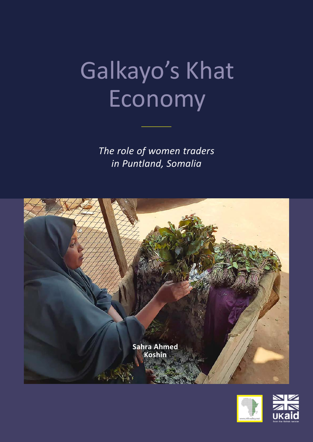# Galkayo's Khat Economy

*The role of women traders in Puntland, Somalia*



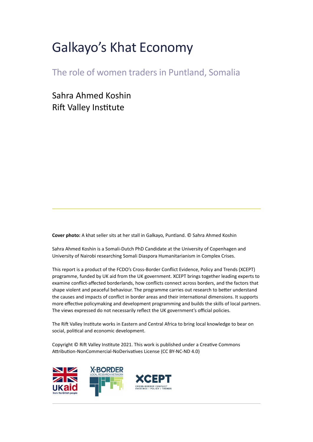## Galkayo's Khat Economy

The role of women traders in Puntland, Somalia

Sahra Ahmed Koshin Rift Valley Institute

**Cover photo:** A khat seller sits at her stall in Galkayo, Puntland. © Sahra Ahmed Koshin

Sahra Ahmed Koshin is a Somali-Dutch PhD Candidate at the University of Copenhagen and University of Nairobi researching Somali Diaspora Humanitarianism in Complex Crises.

This report is a product of the FCDO's Cross-Border Conflict Evidence, Policy and Trends (XCEPT) programme, funded by UK aid from the UK government. XCEPT brings together leading experts to examine conflict-affected borderlands, how conflicts connect across borders, and the factors that shape violent and peaceful behaviour. The programme carries out research to better understand the causes and impacts of conflict in border areas and their international dimensions. It supports more effective policymaking and development programming and builds the skills of local partners. The views expressed do not necessarily reflect the UK government's official policies.

The Rift Valley Institute works in Eastern and Central Africa to bring local knowledge to bear on social, political and economic development.

Copyright © Rift Valley Institute 2021. This work is published under a Creative Commons Attribution-NonCommercial-NoDerivatives License (CC BY-NC-ND 4.0)

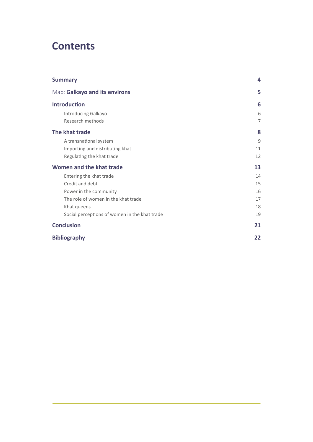## **Contents**

| <b>Summary</b>                                | 4              |
|-----------------------------------------------|----------------|
| Map: Galkayo and its environs                 | 5              |
| <b>Introduction</b>                           | 6              |
| Introducing Galkayo                           | 6              |
| Research methods                              | $\overline{7}$ |
| The khat trade                                | 8              |
| A transnational system                        | 9              |
| Importing and distributing khat               | 11             |
| Regulating the khat trade                     | 12             |
| Women and the khat trade                      | 13             |
| Entering the khat trade                       | 14             |
| Credit and debt                               | 15             |
| Power in the community                        | 16             |
| The role of women in the khat trade           | 17             |
| Khat queens                                   | 18             |
| Social perceptions of women in the khat trade | 19             |
| <b>Conclusion</b>                             | 21             |
| <b>Bibliography</b>                           | 22             |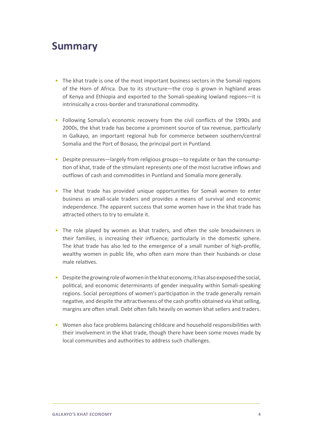## <span id="page-3-0"></span>**Summary**

- The khat trade is one of the most important business sectors in the Somali regions of the Horn of Africa. Due to its structure—the crop is grown in highland areas of Kenya and Ethiopia and exported to the Somali-speaking lowland regions—it is intrinsically a cross-border and transnational commodity.
- Following Somalia's economic recovery from the civil conflicts of the 1990s and 2000s, the khat trade has become a prominent source of tax revenue, particularly in Galkayo, an important regional hub for commerce between southern/central Somalia and the Port of Bosaso, the principal port in Puntland.
- Despite pressures—largely from religious groups—to regulate or ban the consumption of khat, trade of the stimulant represents one of the most lucrative inflows and outflows of cash and commodities in Puntland and Somalia more generally.
- The khat trade has provided unique opportunities for Somali women to enter business as small-scale traders and provides a means of survival and economic independence. The apparent success that some women have in the khat trade has attracted others to try to emulate it.
- The role played by women as khat traders, and often the sole breadwinners in their families, is increasing their influence, particularly in the domestic sphere. The khat trade has also led to the emergence of a small number of high-profile, wealthy women in public life, who often earn more than their husbands or close male relatives.
- Despite the growing role of women in the khat economy, it has also exposed the social, political, and economic determinants of gender inequality within Somali-speaking regions. Social perceptions of women's participation in the trade generally remain negative, and despite the attractiveness of the cash profits obtained via khat selling, margins are often small. Debt often falls heavily on women khat sellers and traders.
- Women also face problems balancing childcare and household responsibilities with their involvement in the khat trade, though there have been some moves made by local communities and authorities to address such challenges.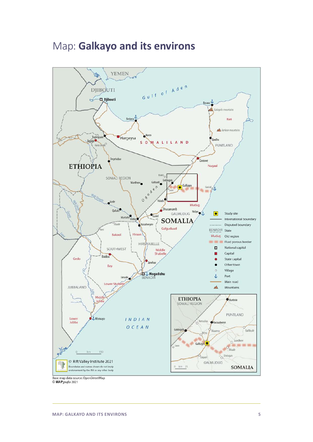## <span id="page-4-0"></span>Map: **Galkayo and its environs**



© MAPgrafix 2021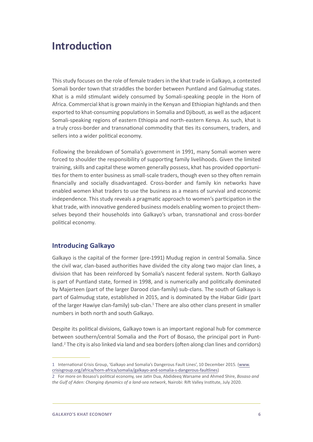## <span id="page-5-0"></span>**Introduction**

This study focuses on the role of female traders in the khat trade in Galkayo, a contested Somali border town that straddles the border between Puntland and Galmudug states. Khat is a mild stimulant widely consumed by Somali-speaking people in the Horn of Africa. Commercial khat is grown mainly in the Kenyan and Ethiopian highlands and then exported to khat-consuming populations in Somalia and Djibouti, as well as the adjacent Somali-speaking regions of eastern Ethiopia and north-eastern Kenya. As such, khat is a truly cross-border and transnational commodity that ties its consumers, traders, and sellers into a wider political economy.

Following the breakdown of Somalia's government in 1991, many Somali women were forced to shoulder the responsibility of supporting family livelihoods. Given the limited training, skills and capital these women generally possess, khat has provided opportunities for them to enter business as small-scale traders, though even so they often remain financially and socially disadvantaged. Cross-border and family kin networks have enabled women khat traders to use the business as a means of survival and economic independence. This study reveals a pragmatic approach to women's participation in the khat trade, with innovative gendered business models enabling women to project themselves beyond their households into Galkayo's urban, transnational and cross-border political economy.

#### **Introducing Galkayo**

Galkayo is the capital of the former (pre-1991) Mudug region in central Somalia. Since the civil war, clan-based authorities have divided the city along two major clan lines, a division that has been reinforced by Somalia's nascent federal system. North Galkayo is part of Puntland state, formed in 1998, and is numerically and politically dominated by Majerteen (part of the larger Darood clan-family) sub-clans. The south of Galkayo is part of Galmudug state, established in 2015, and is dominated by the Habar Gidir (part of the larger Hawiye clan-family) sub-clan.<sup>1</sup> There are also other clans present in smaller numbers in both north and south Galkayo.

Despite its political divisions, Galkayo town is an important regional hub for commerce between southern/central Somalia and the Port of Bosaso, the principal port in Puntland.<sup>2</sup> The city is also linked via land and sea borders (often along clan lines and corridors)

<sup>1</sup> International Crisis Group, 'Galkayo and Somalia's Dangerous Fault Lines', 10 December 2015. ([www.](http://www.crisisgroup.org/africa/horn-africa/somalia/galkayo-and-somalia-s-dangerous-faultlines) [crisisgroup.org/africa/horn-africa/somalia/galkayo-and-somalia-s-dangerous-faultlines\)](http://www.crisisgroup.org/africa/horn-africa/somalia/galkayo-and-somalia-s-dangerous-faultlines)

<sup>2</sup> For more on Bosaso's political economy, see Jatin Dua, Abdideeq Warsame and Ahmed Shire, *Bosaso and the Gulf of Aden: Changing dynamics of a land-sea network*, Nairobi: Rift Valley Institute, July 2020.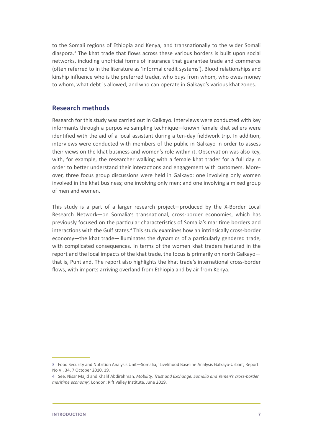<span id="page-6-0"></span>to the Somali regions of Ethiopia and Kenya, and transnationally to the wider Somali diaspora.<sup>3</sup> The khat trade that flows across these various borders is built upon social networks, including unofficial forms of insurance that guarantee trade and commerce (often referred to in the literature as 'informal credit systems'). Blood relationships and kinship influence who is the preferred trader, who buys from whom, who owes money to whom, what debt is allowed, and who can operate in Galkayo's various khat zones.

#### **Research methods**

Research for this study was carried out in Galkayo. Interviews were conducted with key informants through a purposive sampling technique—known female khat sellers were identified with the aid of a local assistant during a ten-day fieldwork trip. In addition, interviews were conducted with members of the public in Galkayo in order to assess their views on the khat business and women's role within it. Observation was also key, with, for example, the researcher walking with a female khat trader for a full day in order to better understand their interactions and engagement with customers. Moreover, three focus group discussions were held in Galkayo: one involving only women involved in the khat business; one involving only men; and one involving a mixed group of men and women.

This study is a part of a larger research project—produced by the X-Border Local Research Network—on Somalia's transnational, cross-border economies, which has previously focused on the particular characteristics of Somalia's maritime borders and interactions with the Gulf states.<sup>4</sup> This study examines how an intrinsically cross-border economy—the khat trade—illuminates the dynamics of a particularly gendered trade, with complicated consequences. In terms of the women khat traders featured in the report and the local impacts of the khat trade, the focus is primarily on north Galkayo that is, Puntland. The report also highlights the khat trade's international cross-border flows, with imports arriving overland from Ethiopia and by air from Kenya.

<sup>3</sup> Food Security and Nutrition Analysis Unit—Somalia, '[Livelihood Baseline Analysis Galkayo-Urban', Report](https://fews.net/sites/default/files/documents/reports/so_Galkayo-Urban-Baseline-Report.pdf)  [No VI. 34, 7 October 2010, 19.](https://fews.net/sites/default/files/documents/reports/so_Galkayo-Urban-Baseline-Report.pdf)

<sup>4</sup> See, Nisar Majid and Khalif Abdirahman, *Mobility, Trust and Exchange: Somalia and Yemen's cross-border maritime economy',* London: Rift Valley Institute, June 2019.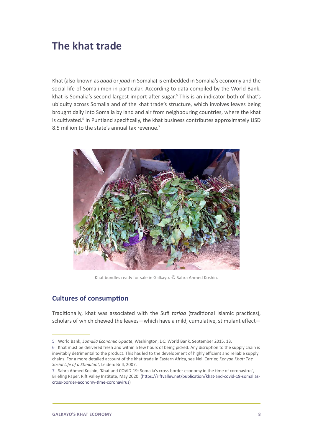## <span id="page-7-0"></span>**The khat trade**

Khat (also known as *qaad* or *jaad* in Somalia) is embedded in Somalia's economy and the social life of Somali men in particular. According to data compiled by the World Bank, khat is Somalia's second largest import after sugar.<sup>5</sup> This is an indicator both of khat's ubiquity across Somalia and of the khat trade's structure, which involves leaves being brought daily into Somalia by land and air from neighbouring countries, where the khat is cultivated.<sup>6</sup> In Puntland specifically, the khat business contributes approximately USD 8.5 million to the state's annual tax revenue.<sup>7</sup>



Khat bundles ready for sale in Galkayo. © Sahra Ahmed Koshin.

#### **Cultures of consumption**

Traditionally, khat was associated with the Sufi *tariqa* (traditional Islamic practices), scholars of which chewed the leaves—which have a mild, cumulative, stimulant effect—

<sup>5</sup>  World Bank, *Somalia Economic Update*, Washington, DC: World Bank, September 2015, 13.

<sup>6</sup> Khat must be delivered fresh and within a few hours of being picked. Any disruption to the supply chain is inevitably detrimental to the product. This has led to the development of highly efficient and reliable supply chains. For a more detailed account of the khat trade in Eastern Africa, see Neil Carrier, *Kenyan Khat: The Social Life of a Stimulant,* Leiden: Brill, 2007.

<sup>7</sup> Sahra Ahmed Koshin, 'Khat and COVID-19: Somalia's cross-border economy in the time of coronavirus', Briefing Paper, Rift Valley Institute, May 2020. [\(https://riftvalley.net/publication/khat-and-covid-19-somalias](https://riftvalley.net/publication/khat-and-covid-19-somalias-cross-border-economy-time-coronavirus)[cross-border-economy-time-coronavirus](https://riftvalley.net/publication/khat-and-covid-19-somalias-cross-border-economy-time-coronavirus))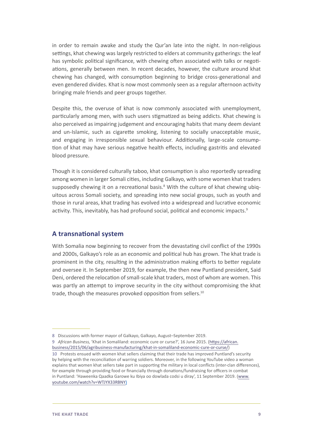<span id="page-8-0"></span>in order to remain awake and study the Qur'an late into the night. In non-religious settings, khat chewing was largely restricted to elders at community gatherings: the leaf has symbolic political significance, with chewing often associated with talks or negotiations, generally between men. In recent decades, however, the culture around khat chewing has changed, with consumption beginning to bridge cross-generational and even gendered divides. Khat is now most commonly seen as a regular afternoon activity bringing male friends and peer groups together.

Despite this, the overuse of khat is now commonly associated with unemployment, particularly among men, with such users stigmatized as being addicts. Khat chewing is also perceived as impairing judgement and encouraging habits that many deem deviant and un-Islamic, such as cigarette smoking, listening to socially unacceptable music, and engaging in irresponsible sexual behaviour. Additionally, large-scale consumption of khat may have serious negative health effects, including gastritis and elevated blood pressure.

Though it is considered culturally taboo, khat consumption is also reportedly spreading among women in larger Somali cities, including Galkayo, with some women khat traders supposedly chewing it on a recreational basis.<sup>8</sup> With the culture of khat chewing ubiquitous across Somali society, and spreading into new social groups, such as youth and those in rural areas, khat trading has evolved into a widespread and lucrative economic activity. This, inevitably, has had profound social, political and economic impacts.9

#### **A transnational system**

With Somalia now beginning to recover from the devastating civil conflict of the 1990s and 2000s, Galkayo's role as an economic and political hub has grown. The khat trade is prominent in the city, resulting in the administration making efforts to better regulate and oversee it. In September 2019, for example, the then new Puntland president, Said Deni, ordered the relocation of small-scale khat traders, most of whom are women. This was partly an attempt to improve security in the city without compromising the khat trade, though the measures provoked opposition from sellers.<sup>10</sup>

9 *African Business,* 'Khat in Somaliland: economic cure or curse?', 16 June 2015. ([https://african.](https://african.business/2015/06/agribusiness-manufacturing/khat-in-somaliland-economic-cure-or-curse/) [business/2015/06/agribusiness-manufacturing/khat-in-somaliland-economic-cure-or-curse/](https://african.business/2015/06/agribusiness-manufacturing/khat-in-somaliland-economic-cure-or-curse/))

<sup>8</sup> Discussions with former mayor of Galkayo, Galkayo, August–September 2019.

<sup>10</sup> Protests ensued with women khat sellers claiming that their trade has improved Puntland's security by helping with the reconciliation of warring soldiers. Moreover, in the following YouTube video a woman explains that women khat sellers take part in supporting the military in local conflicts (inter-clan differences), for example through providing food or financially through donations/fundraising for officers in combat in Puntland: 'Haweenka Qaadka Garowe ku Ibiya oo dowlada codsi u diray', 11 September 2019. [\(www.](http://www.youtube.com/watch?v=WTJYX33RBNY) [youtube.com/watch?v=WTJYX33RBNY\)](http://www.youtube.com/watch?v=WTJYX33RBNY)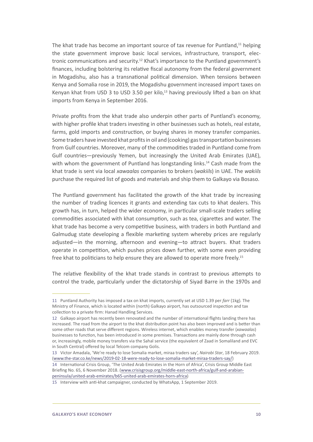The khat trade has become an important source of tax revenue for Puntland, $11$  helping the state government improve basic local services, infrastructure, transport, electronic communications and security.12 Khat's importance to the Puntland government's finances, including bolstering its relative fiscal autonomy from the federal government in Mogadishu, also has a transnational political dimension. When tensions between Kenya and Somalia rose in 2019, the Mogadishu government increased import taxes on Kenyan khat from USD 3 to USD 3.50 per kilo, $13$  having previously lifted a ban on khat imports from Kenya in September 2016.

Private profits from the khat trade also underpin other parts of Puntland's economy, with higher profile khat traders investing in other businesses such as hotels, real estate, farms, gold imports and construction, or buying shares in money transfer companies. Some traders have invested khat profits in oil and (cooking) gas transportation businesses from Gulf countries. Moreover, many of the commodities traded in Puntland come from Gulf countries—previously Yemen, but increasingly the United Arab Emirates (UAE), with whom the government of Puntland has longstanding links.<sup>14</sup> Cash made from the khat trade is sent via local *xawaalas* companies to brokers (*wakiils*) in UAE. The *wakiils* purchase the required list of goods and materials and ship them to Galkayo via Bosaso.

The Puntland government has facilitated the growth of the khat trade by increasing the number of trading licences it grants and extending tax cuts to khat dealers. This growth has, in turn, helped the wider economy, in particular small-scale traders selling commodities associated with khat consumption, such as tea, cigarettes and water. The khat trade has become a very competitive business, with traders in both Puntland and Galmudug state developing a flexible marketing system whereby prices are regularly adjusted—in the morning, afternoon and evening—to attract buyers. Khat traders operate in competition, which pushes prices down further, with some even providing free khat to politicians to help ensure they are allowed to operate more freely.<sup>15</sup>

The relative flexibility of the khat trade stands in contrast to previous attempts to control the trade, particularly under the dictatorship of Siyad Barre in the 1970s and

<sup>11</sup> Puntland Authority has imposed a tax on khat imports, currently set at USD 1.39 per *farr* (1kg)*.* The Ministry of Finance, which is located within (north) Galkayo airport, has outsourced inspection and tax collection to a private firm: Hanad Handling Services.

<sup>12</sup> Galkayo airport has recently been renovated and the number of international flights landing there has increased. The road from the airport to the khat distribution point has also been improved and is better than some other roads that serve different regions. Wireless internet, which enables money transfer (*xawaalas*) businesses to function, has been introduced in some premises. Transactions are mainly done through cash or, increasingly, mobile money transfers via the Sahal service (the equivalent of Zaad in Somaliland and EVC in South Central) offered by local Telcom company Golis.

<sup>13</sup> Victor Amadala, 'We're ready to lose Somalia market, miraa traders say', *Nairobi Star*, 18 February 2019. ([www.the-star.co.ke/news/2019-02-18-were-ready-to-lose-somalia-market-miraa-traders-say/\)](http://www.the-star.co.ke/news/2019-02-18-were-ready-to-lose-somalia-market-miraa-traders-say/)

<sup>14</sup> International Crisis Group, 'The United Arab Emirates in the Horn of Africa', Crisis Group Middle East Briefing No. 65, 6 November 2018. [\(www.crisisgroup.org/middle-east-north-africa/gulf-and-arabian](http://www.crisisgroup.org/middle-east-north-africa/gulf-and-arabian-peninsula/united-arab-emirates/b65-united-arab-emirates-horn-africa)[peninsula/united-arab-emirates/b65-united-arab-emirates-horn-africa\)](http://www.crisisgroup.org/middle-east-north-africa/gulf-and-arabian-peninsula/united-arab-emirates/b65-united-arab-emirates-horn-africa)

<sup>15</sup> Interview with anti-khat campaigner, conducted by WhatsApp, 1 September 2019.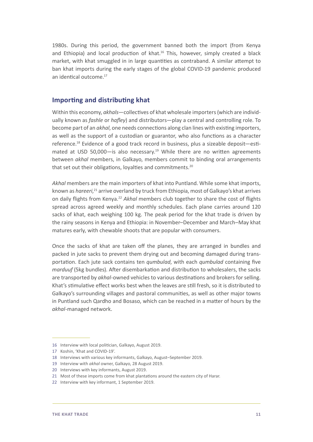<span id="page-10-0"></span>1980s. During this period, the government banned both the import (from Kenya and Ethiopia) and local production of khat.<sup>16</sup> This, however, simply created a black market, with khat smuggled in in large quantities as contraband. A similar attempt to ban khat imports during the early stages of the global COVID-19 pandemic produced an identical outcome.17

#### **Importing and distributing khat**

Within this economy, *akhals*—collectives of khat wholesale importers (which are individually known as *fashle* or *hafley*) and distributors—play a central and controlling role. To become part of an *akhal*, one needs connections along clan lines with existing importers, as well as the support of a custodian or guarantor, who also functions as a character reference.18 Evidence of a good track record in business, plus a sizeable deposit—estimated at USD 50,000-is also necessary.<sup>19</sup> While there are no written agreements between *akhal* members, in Galkayo, members commit to binding oral arrangements that set out their obligations, loyalties and commitments.<sup>20</sup>

*Akhal* members are the main importers of khat into Puntland. While some khat imports, known as *hareeri*, <sup>21</sup> arrive overland by truck from Ethiopia, most of Galkayo's khat arrives on daily flights from Kenya.22 *Akhal* members club together to share the cost of flights spread across agreed weekly and monthly schedules. Each plane carries around 120 sacks of khat, each weighing 100 kg. The peak period for the khat trade is driven by the rainy seasons in Kenya and Ethiopia: in November–December and March–May khat matures early, with chewable shoots that are popular with consumers.

Once the sacks of khat are taken off the planes, they are arranged in bundles and packed in jute sacks to prevent them drying out and becoming damaged during transportation. Each jute sack contains ten *qumbulad*, with each *qumbulad* containing five *marduuf* (5kg bundles). After disembarkation and distribution to wholesalers, the sacks are transported by *akhal*-owned vehicles to various destinations and brokers for selling. Khat's stimulative effect works best when the leaves are still fresh, so it is distributed to Galkayo's surrounding villages and pastoral communities, as well as other major towns in Puntland such Qardho and Bosaso, which can be reached in a matter of hours by the *akhal*-managed network.

<sup>16</sup> Interview with local politician, Galkayo, August 2019.

<sup>17</sup> Koshin, 'Khat and COVID-19'.

<sup>18</sup> Interviews with various key informants, Galkayo, August–September 2019.

<sup>19</sup> Interview with *akhal* owner, Galkayo, 28 August 2019.

<sup>20</sup> Interviews with key informants, August 2019.

<sup>21</sup> Most of these imports come from khat plantations around the eastern city of Harar.

<sup>22</sup> Interview with key informant, 1 September 2019.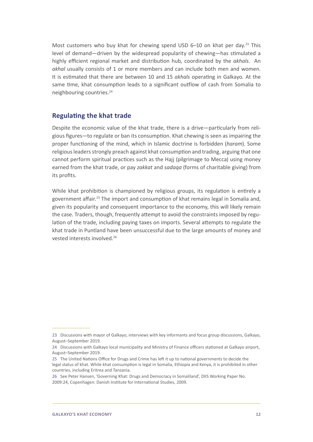<span id="page-11-0"></span>Most customers who buy khat for chewing spend USD  $6-10$  on khat per day.<sup>23</sup> This level of demand—driven by the widespread popularity of chewing—has stimulated a highly efficient regional market and distribution hub, coordinated by the *akhals*. An *akhal* usually consists of 1 or more members and can include both men and women. It is estimated that there are between 10 and 15 *akhals* operating in Galkayo. At the same time, khat consumption leads to a significant outflow of cash from Somalia to neighbouring countries.<sup>24</sup>

#### **Regulating the khat trade**

Despite the economic value of the khat trade, there is a drive—particularly from religious figures—to regulate or ban its consumption. Khat chewing is seen as impairing the proper functioning of the mind, which in Islamic doctrine is forbidden (*haram*). Some religious leaders strongly preach against khat consumption and trading, arguing that one cannot perform spiritual practices such as the Hajj (pilgrimage to Mecca) using money earned from the khat trade, or pay *zakkat* and *sadaqa* (forms of charitable giving) from its profits.

While khat prohibition is championed by religious groups, its regulation is entirely a government affair.25 The import and consumption of khat remains legal in Somalia and, given its popularity and consequent importance to the economy, this will likely remain the case. Traders, though, frequently attempt to avoid the constraints imposed by regulation of the trade, including paying taxes on imports. Several attempts to regulate the khat trade in Puntland have been unsuccessful due to the large amounts of money and vested interests involved.<sup>26</sup>

<sup>23</sup> Discussions with mayor of Galkayo, interviews with key informants and focus group discussions, Galkayo, August–September 2019.

<sup>24</sup> Discussions with Galkayo local municipality and Ministry of Finance officers stationed at Galkayo airport, August–September 2019.

<sup>25</sup> The United Nations Office for Drugs and Crime has left it up to national governments to decide the legal status of khat. While khat consumption is legal in Somalia, Ethiopia and Kenya, it is prohibited in other countries, including Eritrea and Tanzania.

<sup>26</sup> See Peter Hansen, 'Governing Khat: Drugs and Democracy in Somaliland', DIIS Working Paper No. 2009:24, Copenhagen: Danish Institute for International Studies, 2009.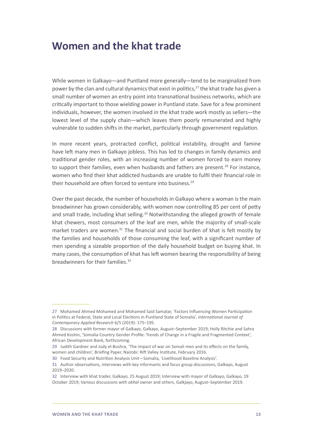### <span id="page-12-0"></span>**Women and the khat trade**

While women in Galkayo—and Puntland more generally—tend to be marginalized from power by the clan and cultural dynamics that exist in politics,<sup>27</sup> the khat trade has given a small number of women an entry point into transnational business networks, which are critically important to those wielding power in Puntland state. Save for a few prominent individuals, however, the women involved in the khat trade work mostly as sellers—the lowest level of the supply chain—which leaves them poorly remunerated and highly vulnerable to sudden shifts in the market, particularly through government regulation.

In more recent years, protracted conflict, political instability, drought and famine have left many men in Galkayo jobless. This has led to changes in family dynamics and traditional gender roles, with an increasing number of women forced to earn money to support their families, even when husbands and fathers are present.<sup>28</sup> For instance, women who find their khat addicted husbands are unable to fulfil their financial role in their household are often forced to venture into business.29

Over the past decade, the number of households in Galkayo where a woman is the main breadwinner has grown considerably, with women now controlling 85 per cent of petty and small trade, including khat selling.<sup>30</sup> Notwithstanding the alleged growth of female khat chewers, most consumers of the leaf are men, while the majority of small-scale market traders are women.<sup>31</sup> The financial and social burden of khat is felt mostly by the families and households of those consuming the leaf, with a significant number of men spending a sizeable proportion of the daily household budget on buying khat. In many cases, the consumption of khat has left women bearing the responsibility of being breadwinners for their families.32

<sup>27</sup> Mohamed Ahmed Mohamed and Mohamed Said Samatar, 'Factors Influencing Women Participation in Politics at Federal, State and Local Elections in Puntland State of Somalia', *International Journal of Contemporary Applied Research* 6/5 (2019): 175–195.

<sup>28</sup> Discussions with former mayor of Galkayo, Galkayo, August–September 2019; Holly Ritchie and Sahra Ahmed Koshin, 'Somalia Country Gender Profile: Trends of Change in a Fragile and Fragmented Context', African Development Bank, forthcoming.

<sup>29</sup> Judith Gardner and Judy el-Bushra, 'The impact of war on Somali men and its effects on the family, women and children', Briefing Paper, Nairobi: Rift Valley Institute, February 2016.

<sup>30</sup> Food Security and Nutrition Analysis Unit—Somalia, 'Livelihood Baseline Analysis'.

<sup>31</sup> Author observations, interviews with key informants and focus group discussions, Galkayo, August 2019–2020.

<sup>32</sup> Interview with khat trader, Galkayo, 25 August 2019; Interview with mayor of Galkayo, Galkayo, 19 October 2019; Various discussions with *akhal* owner and others, Galkjayo, August–September 2019.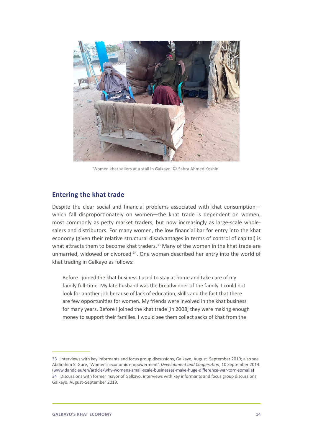<span id="page-13-0"></span>

Women khat sellers at a stall in Galkayo. © Sahra Ahmed Koshin.

#### **Entering the khat trade**

Despite the clear social and financial problems associated with khat consumption which fall disproportionately on women—the khat trade is dependent on women, most commonly as petty market traders, but now increasingly as large-scale wholesalers and distributors. For many women, the low financial bar for entry into the khat economy (given their relative structural disadvantages in terms of control of capital) is what attracts them to become khat traders.<sup>33</sup> Many of the women in the khat trade are unmarried, widowed or divorced  $34$ . One woman described her entry into the world of khat trading in Galkayo as follows:

Before I joined the khat business I used to stay at home and take care of my family full-time. My late husband was the breadwinner of the family. I could not look for another job because of lack of education, skills and the fact that there are few opportunities for women. My friends were involved in the khat business for many years. Before I joined the khat trade [in 2008] they were making enough money to support their families. I would see them collect sacks of khat from the

<sup>33</sup> Interviews with key informants and focus group discussions, Galkayo, August–September 2019; also see Abdirahim S. Gure, 'Women's economic empowerment', *Development and Cooperation*, 10 September 2014. ([www.dandc.eu/en/article/why-womens-small-scale-businesses-make-huge-difference-war-torn-somalia\)](http://www.dandc.eu/en/article/why-womens-small-scale-businesses-make-huge-difference-war-torn-somalia) 34 Discussions with former mayor of Galkayo, interviews with key informants and focus group discussions, Galkayo, August–September 2019.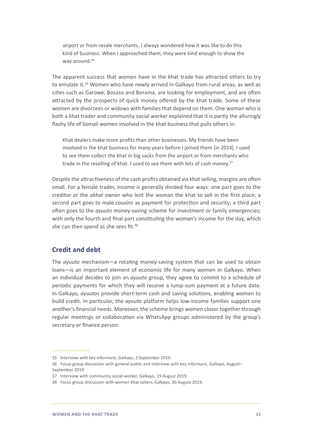<span id="page-14-0"></span>airport or from resale merchants. I always wondered how it was like to do this kind of business. When I approached them, they were kind enough to show the way around.<sup>35</sup>

The apparent success that women have in the khat trade has attracted others to try to emulate it.<sup>36</sup> Women who have newly arrived in Galkayo from rural areas, as well as cities such as Garowe, Bosaso and Borama, are looking for employment, and are often attracted by the prospects of quick money offered by the khat trade. Some of these women are divorcees or widows with families that depend on them. One woman who is both a khat trader and community social worker explained that it is partly the alluringly flashy life of Somali women involved in the khat business that pulls others in:

Khat dealers make more profits than other businesses. My friends have been involved in the khat business for many years before I joined them [in 2014]. I used to see them collect the khat in big sacks from the airport or from merchants who trade in the reselling of khat. I used to see them with lots of cash money.<sup>37</sup>

Despite the attractiveness of the cash profits obtained via khat selling, margins are often small. For a female trader, income is generally divided four ways: one part goes to the creditor or the *akhal* owner who lent the woman the khat to sell in the first place; a second part goes to male cousins as payment for protection and security; a third part often goes to the *ayuuto* money-saving scheme for investment or family emergencies; with only the fourth and final part constituting the woman's income for the day, which she can then spend as she sees fit.<sup>38</sup>

#### **Credit and debt**

The *ayuuto* mechanism—a rotating money-saving system that can be used to obtain loans—is an important element of economic life for many women in Galkayo. When an individual decides to join an *ayuuto* group, they agree to commit to a schedule of periodic payments for which they will receive a lump-sum payment at a future date. In Galkayo, *ayuutos* provide short-term cash and saving solutions, enabling women to build credit. In particular, the *ayuuto* platform helps low-income families support one another's financial needs. Moreover, the scheme brings women closer together through regular meetings or collaboration via WhatsApp groups administered by the group's secretary or finance person.

<sup>35</sup> Interview with key informant, Galkayo, 2 September 2019.

<sup>36</sup> Focus group discussion with general public and interview with key informant, Galkayo, August– September 2019.

<sup>37</sup> Interview with community social worker, Galkayo, 19 August 2019.

<sup>38</sup> Focus group discussion with women khat sellers, Galkayo, 30 August 2019.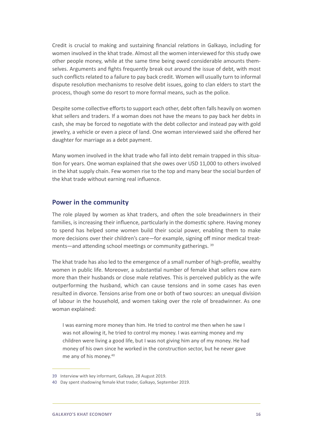<span id="page-15-0"></span>Credit is crucial to making and sustaining financial relations in Galkayo, including for women involved in the khat trade. Almost all the women interviewed for this study owe other people money, while at the same time being owed considerable amounts themselves. Arguments and fights frequently break out around the issue of debt, with most such conflicts related to a failure to pay back credit. Women will usually turn to informal dispute resolution mechanisms to resolve debt issues, going to clan elders to start the process, though some do resort to more formal means, such as the police.

Despite some collective efforts to support each other, debt often falls heavily on women khat sellers and traders. If a woman does not have the means to pay back her debts in cash, she may be forced to negotiate with the debt collector and instead pay with gold jewelry, a vehicle or even a piece of land. One woman interviewed said she offered her daughter for marriage as a debt payment.

Many women involved in the khat trade who fall into debt remain trapped in this situation for years. One woman explained that she owes over USD 11,000 to others involved in the khat supply chain. Few women rise to the top and many bear the social burden of the khat trade without earning real influence.

#### **Power in the community**

The role played by women as khat traders, and often the sole breadwinners in their families, is increasing their influence, particularly in the domestic sphere. Having money to spend has helped some women build their social power, enabling them to make more decisions over their children's care—for example, signing off minor medical treatments—and attending school meetings or community gatherings. 39

The khat trade has also led to the emergence of a small number of high-profile, wealthy women in public life. Moreover, a substantial number of female khat sellers now earn more than their husbands or close male relatives. This is perceived publicly as the wife outperforming the husband, which can cause tensions and in some cases has even resulted in divorce. Tensions arise from one or both of two sources: an unequal division of labour in the household, and women taking over the role of breadwinner. As one woman explained:

I was earning more money than him. He tried to control me then when he saw I was not allowing it, he tried to control my money. I was earning money and my children were living a good life, but I was not giving him any of my money. He had money of his own since he worked in the construction sector, but he never gave me any of his money.<sup>40</sup>

<sup>39</sup> Interview with key informant, Galkayo, 28 August 2019.

<sup>40</sup> Day spent shadowing female khat trader, Galkayo, September 2019.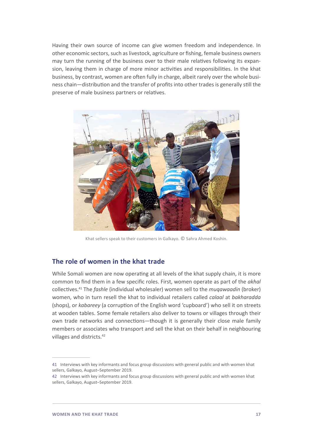<span id="page-16-0"></span>Having their own source of income can give women freedom and independence. In other economic sectors, such as livestock, agriculture or fishing, female business owners may turn the running of the business over to their male relatives following its expansion, leaving them in charge of more minor activities and responsibilities. In the khat business, by contrast, women are often fully in charge, albeit rarely over the whole business chain—distribution and the transfer of profits into other trades is generally still the preserve of male business partners or relatives.



Khat sellers speak to their customers in Galkayo. © Sahra Ahmed Koshin.

#### **The role of women in the khat trade**

While Somali women are now operating at all levels of the khat supply chain, it is more common to find them in a few specific roles. First, women operate as part of the *akhal* collectives.41 The *fashle* (individual wholesaler) women sell to the *muqawaadin* (broker) women, who in turn resell the khat to individual retailers called *calaal* at *bakharadda* (shops), or *kabareey* (a corruption of the English word 'cupboard') who sell it on streets at wooden tables. Some female retailers also deliver to towns or villages through their own trade networks and connections—though it is generally their close male family members or associates who transport and sell the khat on their behalf in neighbouring villages and districts.<sup>42</sup>

<sup>41</sup> Interviews with key informants and focus group discussions with general public and with women khat sellers, Galkayo, August–September 2019.

<sup>42</sup> Interviews with key informants and focus group discussions with general public and with women khat sellers, Galkayo, August–September 2019.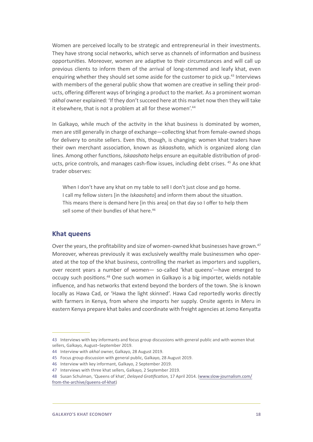<span id="page-17-0"></span>Women are perceived locally to be strategic and entrepreneurial in their investments. They have strong social networks, which serve as channels of information and business opportunities. Moreover, women are adaptive to their circumstances and will call up previous clients to inform them of the arrival of long-stemmed and leafy khat, even enquiring whether they should set some aside for the customer to pick up.<sup>43</sup> Interviews with members of the general public show that women are creative in selling their products, offering different ways of bringing a product to the market. As a prominent woman *akhal* owner explained: 'If they don't succeed here at this market now then they will take it elsewhere, that is not a problem at all for these women'.<sup>44</sup>

In Galkayo, while much of the activity in the khat business is dominated by women, men are still generally in charge of exchange—collecting khat from female-owned shops for delivery to onsite sellers. Even this, though, is changing: women khat traders have their own merchant association, known as *Iskaashato*, which is organized along clan lines. Among other functions, *Iskaashato* helps ensure an equitable distribution of products, price controls, and manages cash-flow issues, including debt crises. 45 As one khat trader observes:

When I don't have any khat on my table to sell I don't just close and go home. I call my fellow sisters [in the *Iskaashato*] and inform them about the situation. This means there is demand here [in this area] on that day so I offer to help them sell some of their bundles of khat here.<sup>46</sup>

#### **Khat queens**

Over the years, the profitability and size of women-owned khat businesses have grown.47 Moreover, whereas previously it was exclusively wealthy male businessmen who operated at the top of the khat business, controlling the market as importers and suppliers, over recent years a number of women— so-called 'khat queens'—have emerged to occupy such positions.48 One such women in Galkayo is a big importer, wields notable influence, and has networks that extend beyond the borders of the town. She is known locally as Hawa Cad, or 'Hawa the light skinned'. Hawa Cad reportedly works directly with farmers in Kenya, from where she imports her supply. Onsite agents in Meru in eastern Kenya prepare khat bales and coordinate with freight agencies at Jomo Kenyatta

<sup>43</sup> Interviews with key informants and focus group discussions with general public and with women khat sellers, Galkayo, August–September 2019.

<sup>44</sup> Interview with *akhal* owner, Galkayo, 28 August 2019.

<sup>45</sup> Focus group discussion with general public, Galkayo, 28 August 2019.

<sup>46</sup> Interview with key informant, Galkayo, 2 September 2019.

<sup>47</sup> Interviews with three khat sellers, Galkayo, 2 September 2019.

<sup>48</sup> Susan Schulman, 'Queens of khat', *Delayed Gratification,* 17 April 2014. [\(www.slow-journalism.com/](http://www.slow-journalism.com/from-the-archive/queens-of-khat) [from-the-archive/queens-of-khat\)](http://www.slow-journalism.com/from-the-archive/queens-of-khat)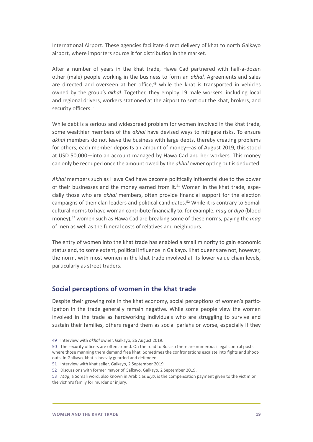<span id="page-18-0"></span>International Airport. These agencies facilitate direct delivery of khat to north Galkayo airport, where importers source it for distribution in the market.

After a number of years in the khat trade, Hawa Cad partnered with half-a-dozen other (male) people working in the business to form an *akhal*. Agreements and sales are directed and overseen at her office,<sup>49</sup> while the khat is transported in vehicles owned by the group's *akhal*. Together, they employ 19 male workers, including local and regional drivers, workers stationed at the airport to sort out the khat, brokers, and security officers.<sup>50</sup>

While debt is a serious and widespread problem for women involved in the khat trade, some wealthier members of the *akhal* have devised ways to mitigate risks. To ensure *akhal* members do not leave the business with large debts, thereby creating problems for others, each member deposits an amount of money—as of August 2019, this stood at USD 50,000—into an account managed by Hawa Cad and her workers. This money can only be recouped once the amount owed by the *akhal* owner opting out is deducted.

*Akhal* members such as Hawa Cad have become politically influential due to the power of their businesses and the money earned from it.<sup>51</sup> Women in the khat trade, especially those who are *akhal* members, often provide financial support for the election campaigns of their clan leaders and political candidates.<sup>52</sup> While it is contrary to Somali cultural norms to have woman contribute financially to, for example, *mag* or *diya* (blood money),53 women such as Hawa Cad are breaking some of these norms, paying the *mag* of men as well as the funeral costs of relatives and neighbours.

The entry of women into the khat trade has enabled a small minority to gain economic status and, to some extent, political influence in Galkayo. Khat queens are not, however, the norm, with most women in the khat trade involved at its lower value chain levels, particularly as street traders.

#### **Social perceptions of women in the khat trade**

Despite their growing role in the khat economy, social perceptions of women's participation in the trade generally remain negative. While some people view the women involved in the trade as hardworking individuals who are struggling to survive and sustain their families, others regard them as social pariahs or worse, especially if they

<sup>49</sup> Interview with *akhal* owner, Galkayo, 26 August 2019.

<sup>50</sup> The security officers are often armed. On the road to Bosaso there are numerous illegal control posts where those manning them demand free khat. Sometimes the confrontations escalate into fights and shootouts. In Galkayo, khat is heavily guarded and defended.

<sup>51</sup> Interview with khat seller, Galkayo, 2 September 2019.

<sup>52</sup> Discussions with former mayor of Galkayo, Galkayo, 2 September 2019.

<sup>53</sup>  *Mag*, a Somali word, also known in Arabic as *diya*, is the compensation payment given to the victim or the victim's family for murder or injury.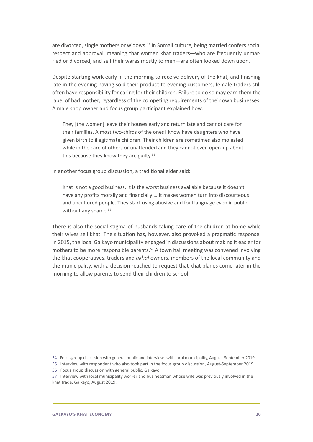are divorced, single mothers or widows.<sup>54</sup> In Somali culture, being married confers social respect and approval, meaning that women khat traders—who are frequently unmarried or divorced, and sell their wares mostly to men—are often looked down upon.

Despite starting work early in the morning to receive delivery of the khat, and finishing late in the evening having sold their product to evening customers, female traders still often have responsibility for caring for their children. Failure to do so may earn them the label of bad mother, regardless of the competing requirements of their own businesses. A male shop owner and focus group participant explained how:

They [the women] leave their houses early and return late and cannot care for their families. Almost two-thirds of the ones I know have daughters who have given birth to illegitimate children. Their children are sometimes also molested while in the care of others or unattended and they cannot even open-up about this because they know they are guilty.<sup>55</sup>

In another focus group discussion, a traditional elder said:

Khat is not a good business. It is the worst business available because it doesn't have any profits morally and financially … It makes women turn into discourteous and uncultured people. They start using abusive and foul language even in public without any shame.<sup>56</sup>

There is also the social stigma of husbands taking care of the children at home while their wives sell khat. The situation has, however, also provoked a pragmatic response. In 2015, the local Galkayo municipality engaged in discussions about making it easier for mothers to be more responsible parents.57 A town hall meeting was convened involving the khat cooperatives, traders and *akhal* owners, members of the local community and the municipality, with a decision reached to request that khat planes come later in the morning to allow parents to send their children to school.

<sup>54</sup> Focus group discussion with general public and interviews with local municipality, August–September 2019.

<sup>55</sup> Interview with respondent who also took part in the focus group discussion, August-September 2019.

<sup>56</sup> Focus group discussion with general public, Galkayo.

<sup>57</sup> Interview with local municipality worker and businessman whose wife was previously involved in the khat trade, Galkayo, August 2019.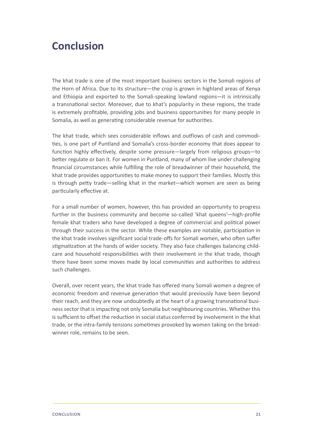## <span id="page-20-0"></span>**Conclusion**

The khat trade is one of the most important business sectors in the Somali regions of the Horn of Africa. Due to its structure—the crop is grown in highland areas of Kenya and Ethiopia and exported to the Somali-speaking lowland regions—it is intrinsically a transnational sector. Moreover, due to khat's popularity in these regions, the trade is extremely profitable, providing jobs and business opportunities for many people in Somalia, as well as generating considerable revenue for authorities.

The khat trade, which sees considerable inflows and outflows of cash and commodities, is one part of Puntland and Somalia's cross-border economy that does appear to function highly effectively, despite some pressure—largely from religious groups—to better regulate or ban it. For women in Puntland, many of whom live under challenging financial circumstances while fulfilling the role of breadwinner of their household, the khat trade provides opportunities to make money to support their families. Mostly this is through petty trade—selling khat in the market—which women are seen as being particularly effective at.

For a small number of women, however, this has provided an opportunity to progress further in the business community and become so-called 'khat queens'—high-profile female khat traders who have developed a degree of commercial and political power through their success in the sector. While these examples are notable, participation in the khat trade involves significant social trade-offs for Somali women, who often suffer stigmatization at the hands of wider society. They also face challenges balancing childcare and household responsibilities with their involvement in the khat trade, though there have been some moves made by local communities and authorities to address such challenges.

Overall, over recent years, the khat trade has offered many Somali women a degree of economic freedom and revenue generation that would previously have been beyond their reach, and they are now undoubtedly at the heart of a growing transnational business sector that is impacting not only Somalia but neighbouring countries. Whether this is sufficient to offset the reduction in social status conferred by involvement in the khat trade, or the intra-family tensions sometimes provoked by women taking on the breadwinner role, remains to be seen.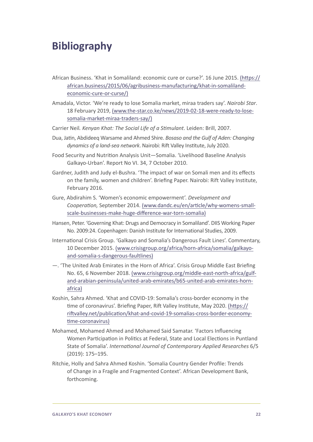## <span id="page-21-0"></span>**Bibliography**

- African Business. 'Khat in Somaliland: economic cure or curse?'. 16 June 2015. ([https://](https://african.business/2015/06/agribusiness-manufacturing/khat-in-somaliland-economic-cure-or-curse/) [african.business/2015/06/agribusiness-manufacturing/khat-in-somaliland](https://african.business/2015/06/agribusiness-manufacturing/khat-in-somaliland-economic-cure-or-curse/)[economic-cure-or-curse/\)](https://african.business/2015/06/agribusiness-manufacturing/khat-in-somaliland-economic-cure-or-curse/)
- Amadala, Victor. 'We're ready to lose Somalia market, miraa traders say'. *Nairobi Star*. 18 February 2019, [\(www.the-star.co.ke/news/2019-02-18-were-ready-to-lose](http://www.the-star.co.ke/news/2019-02-18-were-ready-to-lose-somalia-market-miraa-traders-say/)[somalia-market-miraa-traders-say/](http://www.the-star.co.ke/news/2019-02-18-were-ready-to-lose-somalia-market-miraa-traders-say/))
- Carrier Neil*. Kenyan Khat: The Social Life of a Stimulant*. Leiden: Brill, 2007.
- Dua, Jatin, Abdideeq Warsame and Ahmed Shire. *Bosaso and the Gulf of Aden: Changing dynamics of a land-sea network*. Nairobi: Rift Valley Institute, July 2020.
- Food Security and Nutrition Analysis Unit—Somalia. 'Livelihood Baseline Analysis Galkayo-Urban'. Report No VI. 34, 7 October 2010.
- Gardner, Judith and Judy el-Bushra. 'The impact of war on Somali men and its effects on the family, women and children'. Briefing Paper. Nairobi: Rift Valley Institute, February 2016.
- Gure, Abdirahim S. 'Women's economic empowerment'. *Development and Cooperation,* September 2014. [\(www.dandc.eu/en/article/why-womens-small](http://www.dandc.eu/en/article/why-womens-small-scale-businesses-make-huge-difference-war-torn-somalia)[scale-businesses-make-huge-difference-war-torn-somalia](http://www.dandc.eu/en/article/why-womens-small-scale-businesses-make-huge-difference-war-torn-somalia))
- Hansen, Peter. 'Governing Khat: Drugs and Democracy in Somaliland'. DIIS Working Paper No. 2009:24. Copenhagen: Danish Institute for International Studies, 2009.
- International Crisis Group. 'Galkayo and Somalia's Dangerous Fault Lines'. Commentary, 10 December 2015. ([www.crisisgroup.org/africa/horn-africa/somalia/galkayo](http://www.crisisgroup.org/africa/horn-africa/somalia/galkayo-and-somalia-s-dangerous-faultlines)[and-somalia-s-dangerous-faultlines](http://www.crisisgroup.org/africa/horn-africa/somalia/galkayo-and-somalia-s-dangerous-faultlines))
- —. 'The United Arab Emirates in the Horn of Africa'. Crisis Group Middle East Briefing No. 65, 6 November 2018. [\(www.crisisgroup.org/middle-east-north-africa/gulf](http://www.crisisgroup.org/middle-east-north-africa/gulf-and-arabian-peninsula/united-arab-emirates/b65-united-arab-emirates-horn-africa)[and-arabian-peninsula/united-arab-emirates/b65-united-arab-emirates-horn](http://www.crisisgroup.org/middle-east-north-africa/gulf-and-arabian-peninsula/united-arab-emirates/b65-united-arab-emirates-horn-africa)[africa\)](http://www.crisisgroup.org/middle-east-north-africa/gulf-and-arabian-peninsula/united-arab-emirates/b65-united-arab-emirates-horn-africa)
- Koshin, Sahra Ahmed. 'Khat and COVID-19: Somalia's cross-border economy in the time of coronavirus'. Briefing Paper, Rift Valley Institute, May 2020. [\(https://](https://riftvalley.net/publication/khat-and-covid-19-somalias-cross-border-economy-time-coronavirus) [riftvalley.net/publication/khat-and-covid-19-somalias-cross-border-economy](https://riftvalley.net/publication/khat-and-covid-19-somalias-cross-border-economy-time-coronavirus)[time-coronavirus](https://riftvalley.net/publication/khat-and-covid-19-somalias-cross-border-economy-time-coronavirus))
- Mohamed, Mohamed Ahmed and Mohamed Said Samatar. 'Factors Influencing Women Participation in Politics at Federal, State and Local Elections in Puntland State of Somalia'. *International Journal of Contemporary Applied Researches* 6/5 (2019): 175–195.
- Ritchie, Holly and Sahra Ahmed Koshin. 'Somalia Country Gender Profile: Trends of Change in a Fragile and Fragmented Context'. African Development Bank, forthcoming.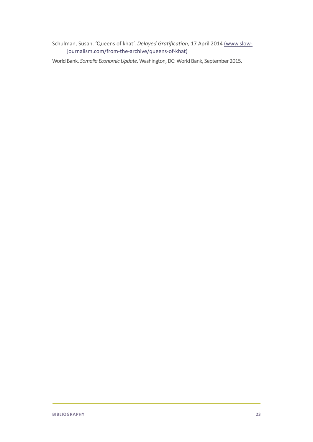Schulman, Susan. 'Queens of khat'. *Delayed Gratification,* 17 April 2014 ([www.slow](http://www.slow-journalism.com/from-the-archive/queens-of-khat)[journalism.com/from-the-archive/queens-of-khat\)](http://www.slow-journalism.com/from-the-archive/queens-of-khat)

World Bank. *Somalia Economic Update*. Washington, DC: World Bank, September 2015.